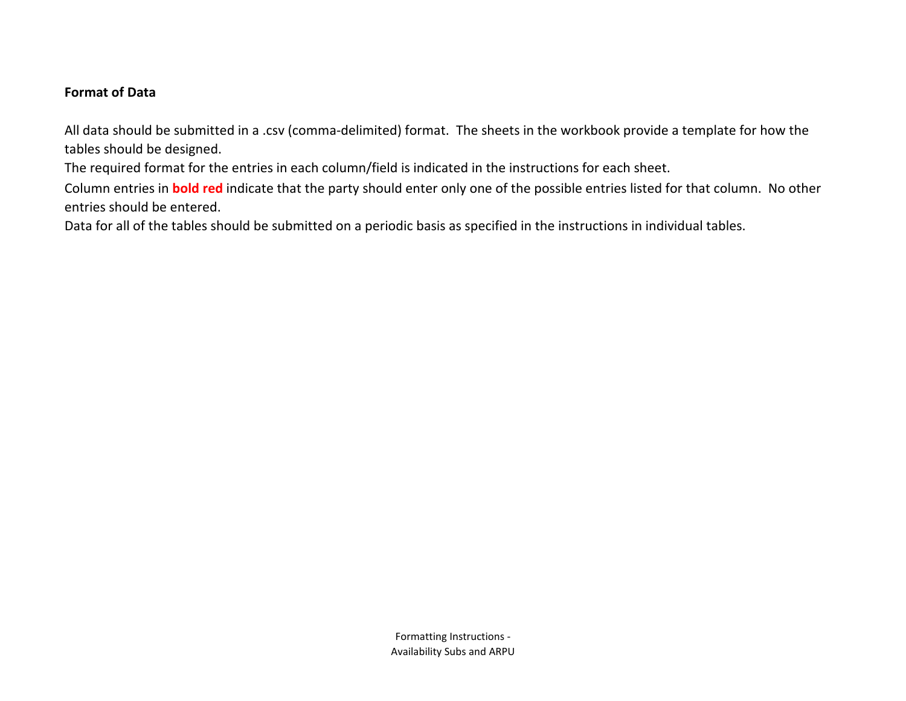## **Format of Data**

All data should be submitted in a .csv (comma-delimited) format. The sheets in the workbook provide a template for how the tables should be designed.

The required format for the entries in each column/field is indicated in the instructions for each sheet.

Column entries in **bold red** indicate that the party should enter only one of the possible entries listed for that column. No other entries should be entered.

Data for all of the tables should be submitted on a periodic basis as specified in the instructions in individual tables.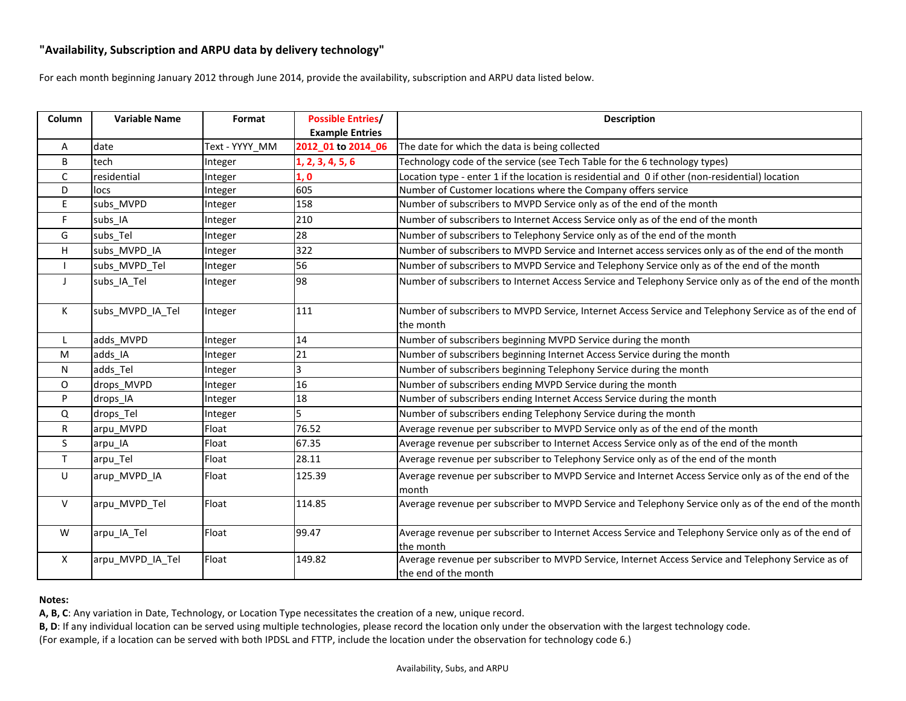## **"Availability, Subscription and ARPU data by delivery technology"**

For each month beginning January 2012 through June 2014, provide the availability, subscription and ARPU data listed below.

| Column       | <b>Variable Name</b> | Format         | <b>Possible Entries/</b><br><b>Example Entries</b> | <b>Description</b>                                                                                                          |  |  |  |  |  |  |  |  |
|--------------|----------------------|----------------|----------------------------------------------------|-----------------------------------------------------------------------------------------------------------------------------|--|--|--|--|--|--|--|--|
| A            | date                 | Text - YYYY_MM | 2012_01 to 2014_06                                 | The date for which the data is being collected                                                                              |  |  |  |  |  |  |  |  |
| $\mathsf B$  | tech                 | Integer        | 1, 2, 3, 4, 5, 6                                   | Technology code of the service (see Tech Table for the 6 technology types)                                                  |  |  |  |  |  |  |  |  |
| $\mathsf{C}$ | residential          | Integer        | 1, 0                                               | Location type - enter 1 if the location is residential and 0 if other (non-residential) location                            |  |  |  |  |  |  |  |  |
| D            | locs                 | Integer        | 605                                                | Number of Customer locations where the Company offers service                                                               |  |  |  |  |  |  |  |  |
| E            | subs_MVPD            | Integer        | 158                                                | Number of subscribers to MVPD Service only as of the end of the month                                                       |  |  |  |  |  |  |  |  |
| F.           | subs_IA              | Integer        | 210                                                | Number of subscribers to Internet Access Service only as of the end of the month                                            |  |  |  |  |  |  |  |  |
| G            | subs Tel             | Integer        | 28                                                 | Number of subscribers to Telephony Service only as of the end of the month                                                  |  |  |  |  |  |  |  |  |
| H            | subs MVPD IA         | Integer        | 322                                                | Number of subscribers to MVPD Service and Internet access services only as of the end of the month                          |  |  |  |  |  |  |  |  |
|              | subs_MVPD_Tel        | Integer        | 56                                                 | Number of subscribers to MVPD Service and Telephony Service only as of the end of the month                                 |  |  |  |  |  |  |  |  |
| J            | subs_IA_Tel          | Integer        | 98                                                 | Number of subscribers to Internet Access Service and Telephony Service only as of the end of the month                      |  |  |  |  |  |  |  |  |
| K            | subs_MVPD_IA_Tel     | Integer        | 111                                                | Number of subscribers to MVPD Service, Internet Access Service and Telephony Service as of the end of<br>the month          |  |  |  |  |  |  |  |  |
| L            | adds MVPD            | Integer        | 14                                                 | Number of subscribers beginning MVPD Service during the month                                                               |  |  |  |  |  |  |  |  |
| M            | adds IA              | Integer        | 21                                                 | Number of subscribers beginning Internet Access Service during the month                                                    |  |  |  |  |  |  |  |  |
| N            | adds Tel             | Integer        | 3                                                  | Number of subscribers beginning Telephony Service during the month                                                          |  |  |  |  |  |  |  |  |
| $\mathsf{O}$ | drops_MVPD           | Integer        | 16                                                 | Number of subscribers ending MVPD Service during the month                                                                  |  |  |  |  |  |  |  |  |
| P            | drops_IA             | Integer        | 18                                                 | Number of subscribers ending Internet Access Service during the month                                                       |  |  |  |  |  |  |  |  |
| Q            | drops_Tel            | Integer        |                                                    | Number of subscribers ending Telephony Service during the month                                                             |  |  |  |  |  |  |  |  |
| $\mathsf R$  | arpu_MVPD            | Float          | 76.52                                              | Average revenue per subscriber to MVPD Service only as of the end of the month                                              |  |  |  |  |  |  |  |  |
| $\mathsf{S}$ | arpu_IA              | Float          | 67.35                                              | Average revenue per subscriber to Internet Access Service only as of the end of the month                                   |  |  |  |  |  |  |  |  |
| $\mathsf T$  | arpu_Tel             | Float          | 28.11                                              | Average revenue per subscriber to Telephony Service only as of the end of the month                                         |  |  |  |  |  |  |  |  |
| $\cup$       | arup_MVPD_IA         | Float          | 125.39                                             | Average revenue per subscriber to MVPD Service and Internet Access Service only as of the end of the<br>month               |  |  |  |  |  |  |  |  |
| $\mathsf{V}$ | arpu MVPD Tel        | Float          | 114.85                                             | Average revenue per subscriber to MVPD Service and Telephony Service only as of the end of the month                        |  |  |  |  |  |  |  |  |
| W            | arpu IA Tel          | Float          | 99.47                                              | Average revenue per subscriber to Internet Access Service and Telephony Service only as of the end of<br>the month          |  |  |  |  |  |  |  |  |
| $\mathsf{X}$ | arpu_MVPD_IA_Tel     | Float          | 149.82                                             | Average revenue per subscriber to MVPD Service, Internet Access Service and Telephony Service as of<br>the end of the month |  |  |  |  |  |  |  |  |

## **Notes:**

**A, B, C**: Any variation in Date, Technology, or Location Type necessitates the creation of a new, unique record.

**B, D**: If any individual location can be served using multiple technologies, please record the location only under the observation with the largest technology code. (For example, if a location can be served with both IPDSL and FTTP, include the location under the observation for technology code 6.)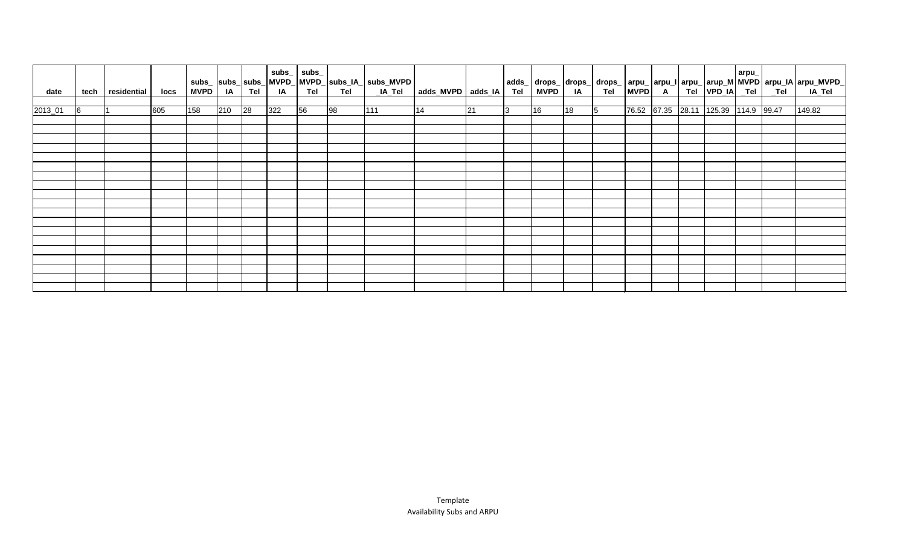| date    | tech       | residential | locs | MVPD | <b>IA</b> | Tel         | <b>IA</b> | $subs$ <sub>_</sub> $subs$ <sub>_</sub><br><b>Tel</b> | <b>Tel</b> | _IA_Tel | adds_MVPD adds_IA |                 |   |    |    |            |  |                                      | arpu | adds_  drops_  drops_  drops_  arpu_  arpu_  arpu_  arup_M   MVPD   arpu_IA   arpu_MVPD_<br>  Tel   MVPD   IA   Tel   MVPD   A   Tel   VPD_IA   _Tel   _Tel   IA_Tel |
|---------|------------|-------------|------|------|-----------|-------------|-----------|-------------------------------------------------------|------------|---------|-------------------|-----------------|---|----|----|------------|--|--------------------------------------|------|----------------------------------------------------------------------------------------------------------------------------------------------------------------------|
| 2013_01 | $\sqrt{6}$ |             | 605  | 158  | 210       | $\sqrt{28}$ | $322$     | $\overline{56}$                                       | 98         | 111     | 14                | $\overline{21}$ | 3 | 16 | 18 | $\sqrt{5}$ |  | 76.52 67.35 28.11 125.39 114.9 99.47 |      | 149.82                                                                                                                                                               |
|         |            |             |      |      |           |             |           |                                                       |            |         |                   |                 |   |    |    |            |  |                                      |      |                                                                                                                                                                      |
|         |            |             |      |      |           |             |           |                                                       |            |         |                   |                 |   |    |    |            |  |                                      |      |                                                                                                                                                                      |
|         |            |             |      |      |           |             |           |                                                       |            |         |                   |                 |   |    |    |            |  |                                      |      |                                                                                                                                                                      |
|         |            |             |      |      |           |             |           |                                                       |            |         |                   |                 |   |    |    |            |  |                                      |      |                                                                                                                                                                      |
|         |            |             |      |      |           |             |           |                                                       |            |         |                   |                 |   |    |    |            |  |                                      |      |                                                                                                                                                                      |
|         |            |             |      |      |           |             |           |                                                       |            |         |                   |                 |   |    |    |            |  |                                      |      |                                                                                                                                                                      |
|         |            |             |      |      |           |             |           |                                                       |            |         |                   |                 |   |    |    |            |  |                                      |      |                                                                                                                                                                      |
|         |            |             |      |      |           |             |           |                                                       |            |         |                   |                 |   |    |    |            |  |                                      |      |                                                                                                                                                                      |
|         |            |             |      |      |           |             |           |                                                       |            |         |                   |                 |   |    |    |            |  |                                      |      |                                                                                                                                                                      |
|         |            |             |      |      |           |             |           |                                                       |            |         |                   |                 |   |    |    |            |  |                                      |      |                                                                                                                                                                      |
|         |            |             |      |      |           |             |           |                                                       |            |         |                   |                 |   |    |    |            |  |                                      |      |                                                                                                                                                                      |
|         |            |             |      |      |           |             |           |                                                       |            |         |                   |                 |   |    |    |            |  |                                      |      |                                                                                                                                                                      |
|         |            |             |      |      |           |             |           |                                                       |            |         |                   |                 |   |    |    |            |  |                                      |      |                                                                                                                                                                      |
|         |            |             |      |      |           |             |           |                                                       |            |         |                   |                 |   |    |    |            |  |                                      |      |                                                                                                                                                                      |
|         |            |             |      |      |           |             |           |                                                       |            |         |                   |                 |   |    |    |            |  |                                      |      |                                                                                                                                                                      |
|         |            |             |      |      |           |             |           |                                                       |            |         |                   |                 |   |    |    |            |  |                                      |      |                                                                                                                                                                      |
|         |            |             |      |      |           |             |           |                                                       |            |         |                   |                 |   |    |    |            |  |                                      |      |                                                                                                                                                                      |
|         |            |             |      |      |           |             |           |                                                       |            |         |                   |                 |   |    |    |            |  |                                      |      |                                                                                                                                                                      |